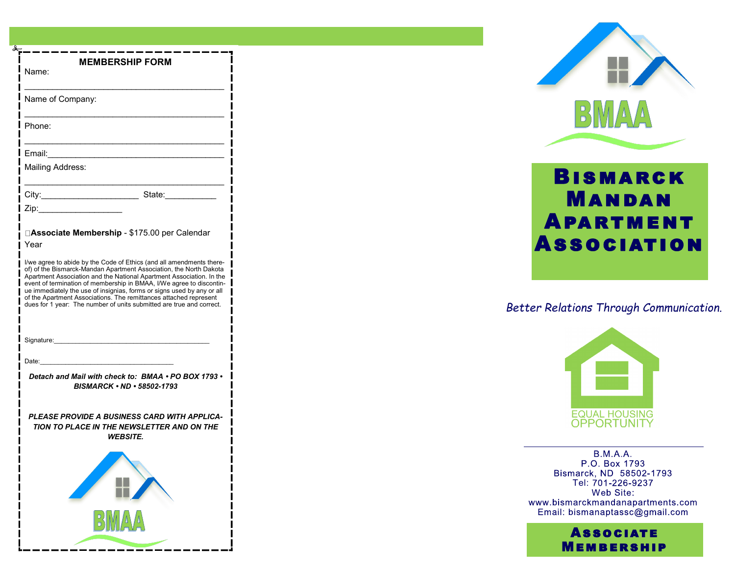| <b>MEMBERSHIP FORM</b><br>Name:                                                                                                                                                                                                                                                                                                                                                                                                                                                                                   |
|-------------------------------------------------------------------------------------------------------------------------------------------------------------------------------------------------------------------------------------------------------------------------------------------------------------------------------------------------------------------------------------------------------------------------------------------------------------------------------------------------------------------|
| Name of Company:                                                                                                                                                                                                                                                                                                                                                                                                                                                                                                  |
| Phone:                                                                                                                                                                                                                                                                                                                                                                                                                                                                                                            |
| Email:                                                                                                                                                                                                                                                                                                                                                                                                                                                                                                            |
| Mailing Address:                                                                                                                                                                                                                                                                                                                                                                                                                                                                                                  |
|                                                                                                                                                                                                                                                                                                                                                                                                                                                                                                                   |
| Zip: The Side of the Side of the Side of the Side of the Side of the Side of the Side of the Side o                                                                                                                                                                                                                                                                                                                                                                                                               |
| □Associate Membership - \$175.00 per Calendar<br>Year                                                                                                                                                                                                                                                                                                                                                                                                                                                             |
| I/we agree to abide by the Code of Ethics (and all amendments there-<br>of) of the Bismarck-Mandan Apartment Association, the North Dakota<br>Apartment Association and the National Apartment Association. In the<br>event of termination of membership in BMAA, I/We agree to discontin-<br>ue immediately the use of insignias, forms or signs used by any or all<br>of the Apartment Associations. The remittances attached represent<br>dues for 1 year: The number of units submitted are true and correct. |
| Signature: explorer and the state of the state of the state of the state of the state of the state of the state of the state of the state of the state of the state of the state of the state of the state of the state of the                                                                                                                                                                                                                                                                                    |
| Date:                                                                                                                                                                                                                                                                                                                                                                                                                                                                                                             |
| Detach and Mail with check to: BMAA • PO BOX 1793 •<br>BISMARCK • ND • 58502-1793                                                                                                                                                                                                                                                                                                                                                                                                                                 |
| PLEASE PROVIDE A BUSINESS CARD WITH APPLICA-<br><b>TION TO PLACE IN THE NEWSLETTER AND ON THE</b><br><b>WEBSITE.</b>                                                                                                                                                                                                                                                                                                                                                                                              |
| Н,                                                                                                                                                                                                                                                                                                                                                                                                                                                                                                                |
| BMAA                                                                                                                                                                                                                                                                                                                                                                                                                                                                                                              |



# **APARTMENT** Bismarck Mandan **Association**

## *Better Relations Through Communication.*



 $B.M.A.A.$ P.O. Box 1793 Bismarck, ND 58502-1793 Tel: 701-226-9237<br>Web Site: www.bismarckmandanapartments.com<br>Email: bismanaptassc@gmail.com